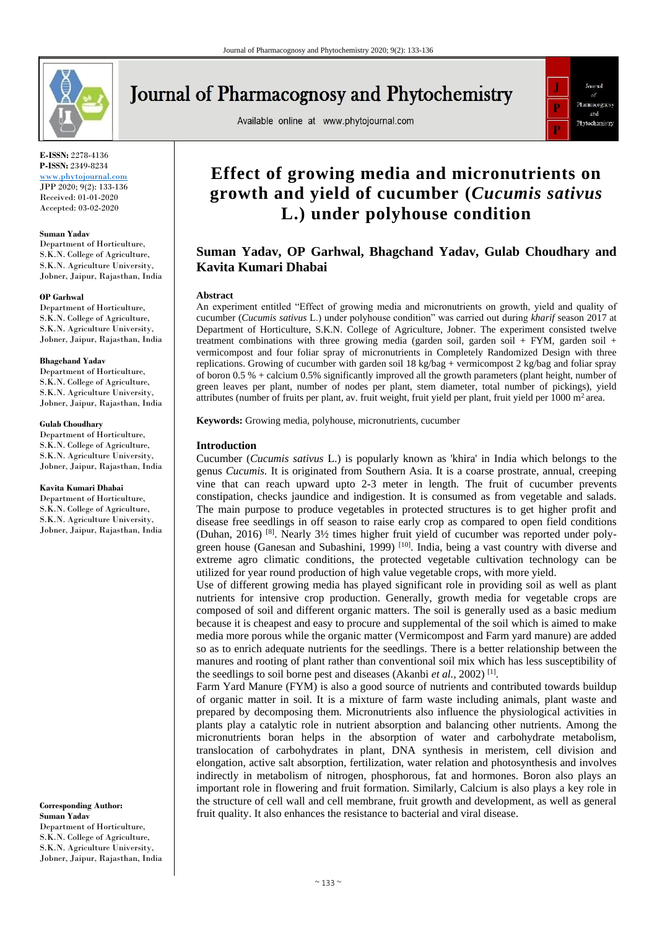

**E-ISSN:** 2278-4136 **P-ISSN:** 2349-8234

[www.phytojournal.com](file:///D:/2020%20files/01-03-2020/06-03-2020/www.phytojournal.com) JPP 2020; 9(2): 133-136 Received: 01-01-2020 Accepted: 03-02-2020

#### **Suman Yadav**

Department of Horticulture, S.K.N. College of Agriculture, S.K.N. Agriculture University, Jobner, Jaipur, Rajasthan, India

#### **OP Garhwal**

Department of Horticulture, S.K.N. College of Agriculture, S.K.N. Agriculture University, Jobner, Jaipur, Rajasthan, India

#### **Bhagchand Yadav**

Department of Horticulture, S.K.N. College of Agriculture, S.K.N. Agriculture University, Jobner, Jaipur, Rajasthan, India

#### **Gulab Choudhary**

Department of Horticulture, S.K.N. College of Agriculture, S.K.N. Agriculture University, Jobner, Jaipur, Rajasthan, India

#### **Kavita Kumari Dhabai**

Department of Horticulture, S.K.N. College of Agriculture, S.K.N. Agriculture University, Jobner, Jaipur, Rajasthan, India

**Corresponding Author: Suman Yadav** Department of Horticulture, S.K.N. College of Agriculture, S.K.N. Agriculture University, Jobner, Jaipur, Rajasthan, India

# **Journal of Pharmacognosy and Phytochemistry**

Available online at www.phytojournal.com



## **Effect of growing media and micronutrients on growth and yield of cucumber (***Cucumis sativus*  **L.) under polyhouse condition**

### **Suman Yadav, OP Garhwal, Bhagchand Yadav, Gulab Choudhary and Kavita Kumari Dhabai**

#### **Abstract**

An experiment entitled "Effect of growing media and micronutrients on growth, yield and quality of cucumber (*Cucumis sativus* L.) under polyhouse condition" was carried out during *kharif* season 2017 at Department of Horticulture, S.K.N. College of Agriculture, Jobner. The experiment consisted twelve treatment combinations with three growing media (garden soil, garden soil + FYM, garden soil + vermicompost and four foliar spray of micronutrients in Completely Randomized Design with three replications. Growing of cucumber with garden soil 18 kg/bag + vermicompost 2 kg/bag and foliar spray of boron 0.5 % + calcium 0.5% significantly improved all the growth parameters (plant height, number of green leaves per plant, number of nodes per plant, stem diameter, total number of pickings), yield attributes (number of fruits per plant, av. fruit weight, fruit yield per plant, fruit yield per  $1000 \text{ m}^2$  area.

**Keywords:** Growing media, polyhouse, micronutrients, cucumber

#### **Introduction**

Cucumber (*Cucumis sativus* L.) is popularly known as 'khira' in India which belongs to the genus *Cucumis.* It is originated from Southern Asia. It is a coarse prostrate, annual, creeping vine that can reach upward upto 2-3 meter in length. The fruit of cucumber prevents constipation, checks jaundice and indigestion. It is consumed as from vegetable and salads. The main purpose to produce vegetables in protected structures is to get higher profit and disease free seedlings in off season to raise early crop as compared to open field conditions (Duhan, 2016) [8]. Nearly 3½ times higher fruit yield of cucumber was reported under polygreen house (Ganesan and Subashini, 1999)<sup>[10]</sup>. India, being a vast country with diverse and extreme agro climatic conditions, the protected vegetable cultivation technology can be utilized for year round production of high value vegetable crops, with more yield.

Use of different growing media has played significant role in providing soil as well as plant nutrients for intensive crop production. Generally, growth media for vegetable crops are composed of soil and different organic matters. The soil is generally used as a basic medium because it is cheapest and easy to procure and supplemental of the soil which is aimed to make media more porous while the organic matter (Vermicompost and Farm yard manure) are added so as to enrich adequate nutrients for the seedlings. There is a better relationship between the manures and rooting of plant rather than conventional soil mix which has less susceptibility of the seedlings to soil borne pest and diseases (Akanbi *et al.,* 2002) [1] .

Farm Yard Manure (FYM) is also a good source of nutrients and contributed towards buildup of organic matter in soil. It is a mixture of farm waste including animals, plant waste and prepared by decomposing them. Micronutrients also influence the physiological activities in plants play a catalytic role in nutrient absorption and balancing other nutrients. Among the micronutrients boran helps in the absorption of water and carbohydrate metabolism, translocation of carbohydrates in plant, DNA synthesis in meristem, cell division and elongation, active salt absorption, fertilization, water relation and photosynthesis and involves indirectly in metabolism of nitrogen, phosphorous, fat and hormones. Boron also plays an important role in flowering and fruit formation. Similarly, Calcium is also plays a key role in the structure of cell wall and cell membrane, fruit growth and development, as well as general fruit quality. It also enhances the resistance to bacterial and viral disease.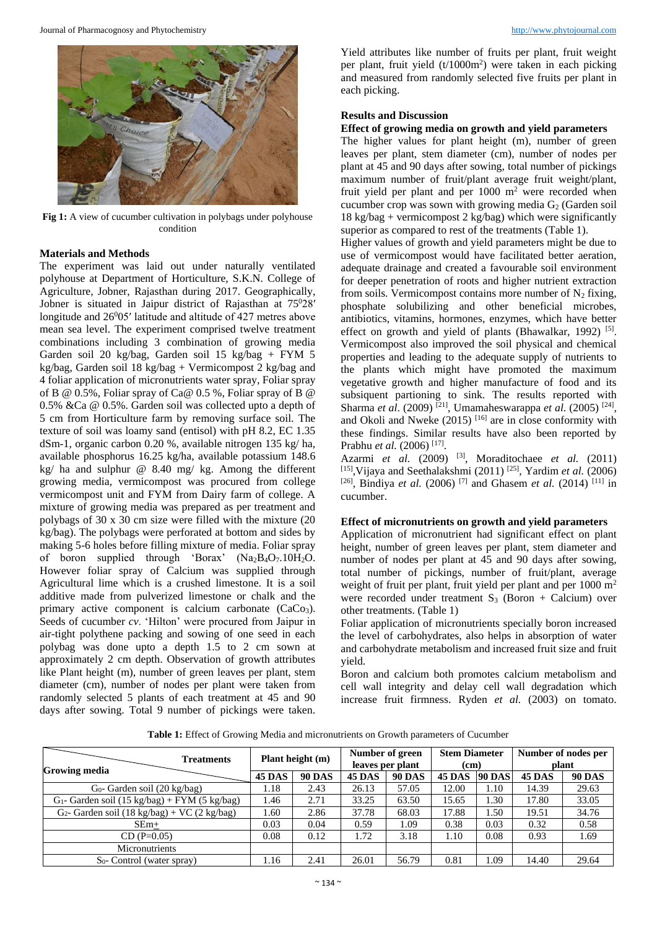

**Fig 1:** A view of cucumber cultivation in polybags under polyhouse condition

#### **Materials and Methods**

The experiment was laid out under naturally ventilated polyhouse at Department of Horticulture, S.K.N. College of Agriculture, Jobner, Rajasthan during 2017. Geographically, Jobner is situated in Jaipur district of Rajasthan at 75<sup>0</sup>28' longitude and  $26^005'$  latitude and altitude of 427 metres above mean sea level. The experiment comprised twelve treatment combinations including 3 combination of growing media Garden soil 20 kg/bag, Garden soil 15 kg/bag + FYM 5 kg/bag, Garden soil 18 kg/bag + Vermicompost 2 kg/bag and 4 foliar application of micronutrients water spray, Foliar spray of B @ 0.5%, Foliar spray of Ca@ 0.5 %, Foliar spray of B @ 0.5% &Ca @ 0.5%. Garden soil was collected upto a depth of 5 cm from Horticulture farm by removing surface soil. The texture of soil was loamy sand (entisol) with pH 8.2, EC 1.35 dSm-1, organic carbon 0.20 %, available nitrogen 135 kg/ ha, available phosphorus 16.25 kg/ha, available potassium 148.6 kg/ ha and sulphur @ 8.40 mg/ kg. Among the different growing media, vermicompost was procured from college vermicompost unit and FYM from Dairy farm of college. A mixture of growing media was prepared as per treatment and polybags of 30 x 30 cm size were filled with the mixture (20 kg/bag). The polybags were perforated at bottom and sides by making 5-6 holes before filling mixture of media. Foliar spray of boron supplied through 'Borax' (Na2B4O7.10H2O. However foliar spray of Calcium was supplied through Agricultural lime which is a crushed limestone. It is a soil additive made from pulverized limestone or chalk and the primary active component is calcium carbonate  $(CaCo<sub>3</sub>)$ . Seeds of cucumber *cv*. 'Hilton' were procured from Jaipur in air-tight polythene packing and sowing of one seed in each polybag was done upto a depth 1.5 to 2 cm sown at approximately 2 cm depth. Observation of growth attributes like Plant height (m), number of green leaves per plant, stem diameter (cm), number of nodes per plant were taken from randomly selected 5 plants of each treatment at 45 and 90 days after sowing. Total 9 number of pickings were taken.

Yield attributes like number of fruits per plant, fruit weight per plant, fruit yield (t/1000m<sup>2</sup>) were taken in each picking and measured from randomly selected five fruits per plant in each picking.

#### **Results and Discussion**

#### **Effect of growing media on growth and yield parameters**

The higher values for plant height (m), number of green leaves per plant, stem diameter (cm), number of nodes per plant at 45 and 90 days after sowing, total number of pickings maximum number of fruit/plant average fruit weight/plant, fruit yield per plant and per  $1000 \text{ m}^2$  were recorded when cucumber crop was sown with growing media  $G_2$  (Garden soil  $18 \text{ kg/bag} + \text{vermicompost } 2 \text{ kg/bag}$  which were significantly superior as compared to rest of the treatments (Table 1).

Higher values of growth and yield parameters might be due to use of vermicompost would have facilitated better aeration, adequate drainage and created a favourable soil environment for deeper penetration of roots and higher nutrient extraction from soils. Vermicompost contains more number of  $N_2$  fixing, phosphate solubilizing and other beneficial microbes, antibiotics, vitamins, hormones, enzymes, which have better effect on growth and yield of plants (Bhawalkar, 1992)<sup>[5]</sup>. Vermicompost also improved the soil physical and chemical properties and leading to the adequate supply of nutrients to the plants which might have promoted the maximum vegetative growth and higher manufacture of food and its subsiquent partioning to sink. The results reported with Sharma *et al.* (2009)<sup>[21]</sup>, Umamaheswarappa *et al.* (2005)<sup>[24]</sup>, and Okoli and Nweke  $(2015)$ <sup>[16]</sup> are in close conformity with these findings. Similar results have also been reported by Prabhu et al. (2006)<sup>[17]</sup>.

Azarmi *et al.* [\(2009\)](file:///C:/Users/VIP/Desktop/OFFICE%20FILES/AKHIL%20NEW/9-1-394.docx%23page21) [3] , [Moraditochaee](https://www.researchgate.net/publication/267411117_Effects_of_Vermicompost_Application_and_Nitrogen_Fertilizer_Rates_on_Fruit_Yield_and_Several_Attributes_of_Eggplant_Solanum_melongena_L_in_Iran?el=1_x_8&enrichId=rgreq-860c7f97cbafea722ee1ad60268f7fd8-XXX&enrichSource=Y292ZXJQYWdlOzI2NjA4Nzg4MTtBUzoxODkxNzYyNTUzNjEwMjRAMTQyMjExNDU0MjE0MA==) *et al.* (2011) [15],Vijaya and Seethalakshmi [\(2011\)](file:///C:/Users/VIP/Desktop/OFFICE%20FILES/AKHIL%20NEW/9-1-394.docx%23page25) [25] , [Yardim](https://www.researchgate.net/publication/228489226_Suppression_of_tomato_hornworm_Manduca_quinquemaculata_and_cucumber_beetles_Acalymma_vittatum_and_Diabotrica_undecimpunctata_populations_and_damage?el=1_x_8&enrichId=rgreq-860c7f97cbafea722ee1ad60268f7fd8-XXX&enrichSource=Y292ZXJQYWdlOzI2NjA4Nzg4MTtBUzoxODkxNzYyNTUzNjEwMjRAMTQyMjExNDU0MjE0MA==) *et al.* (2006) <sup>[26]</sup>, Bindiya *et al.* (2006)<sup>[7]</sup> and Ghasem *et al.* (2014)<sup>[11]</sup> in cucumber.

#### **Effect of micronutrients on growth and yield parameters**

Application of micronutrient had significant effect on plant height, number of green leaves per plant, stem diameter and number of nodes per plant at 45 and 90 days after sowing, total number of pickings, number of fruit/plant, average weight of fruit per plant, fruit yield per plant and per  $1000 \text{ m}^2$ were recorded under treatment  $S_3$  (Boron + Calcium) over other treatments. (Table 1)

Foliar application of micronutrients specially boron increased the level of carbohydrates, also helps in absorption of water and carbohydrate metabolism and increased fruit size and fruit yield.

Boron and calcium both promotes calcium metabolism and cell wall integrity and delay cell wall degradation which increase fruit firmness. Ryden *et al.* (2003) on tomato.

**Table 1:** Effect of Growing Media and micronutrients on Growth parameters of Cucumber

| <b>Treatments</b><br><b>Growing media</b>        | Plant height (m) |               | Number of green<br>leaves per plant |               | <b>Stem Diameter</b><br>(cm) |               | Number of nodes per<br>plant |               |
|--------------------------------------------------|------------------|---------------|-------------------------------------|---------------|------------------------------|---------------|------------------------------|---------------|
|                                                  | <b>45 DAS</b>    | <b>90 DAS</b> | <b>45 DAS</b>                       | <b>90 DAS</b> | <b>45 DAS</b>                | <b>90 DAS</b> | <b>45 DAS</b>                | <b>90 DAS</b> |
| G <sub>0</sub> - Garden soil (20 kg/bag)         | 1.18             | 2.43          | 26.13                               | 57.05         | 12.00                        | 1.10          | 14.39                        | 29.63         |
| $G_1$ - Garden soil (15 kg/bag) + FYM (5 kg/bag) | 1.46             | 2.71          | 33.25                               | 63.50         | 15.65                        | 1.30          | 17.80                        | 33.05         |
| $G_2$ - Garden soil (18 kg/bag) + VC (2 kg/bag)  | 1.60             | 2.86          | 37.78                               | 68.03         | 17.88                        | 1.50          | 19.51                        | 34.76         |
| $SEm+$                                           | 0.03             | 0.04          | 0.59                                | 1.09          | 0.38                         | 0.03          | 0.32                         | 0.58          |
| $CD (P=0.05)$                                    | 0.08             | 0.12          | 1.72                                | 3.18          | 1.10                         | 0.08          | 0.93                         | 1.69          |
| Micronutrients                                   |                  |               |                                     |               |                              |               |                              |               |
| $S_0$ - Control (water spray)                    | 1.16             | 2.41          | 26.01                               | 56.79         | 0.81                         | .09           | 14.40                        | 29.64         |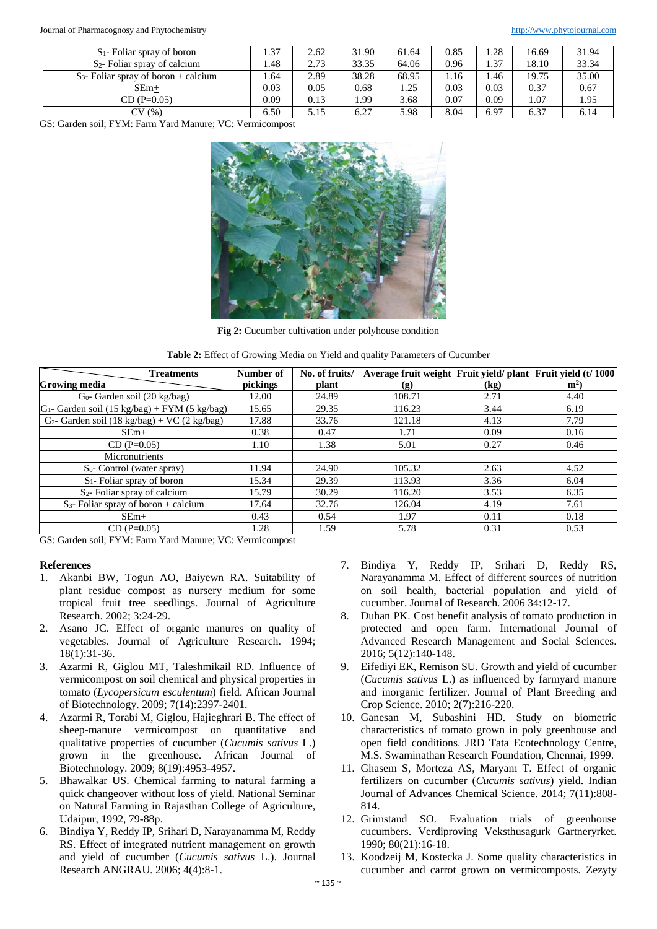Journal of Pharmacognosy and Phytochemistry [http://www.phytojournal.com](http://www.phytojournal.com/)

| $S_1$ - Foliar spray of boron           | 1.37 | 2.62 | 31.90 | 61.64 | 0.85 | 1.28 | 16.69 | 31.94 |
|-----------------------------------------|------|------|-------|-------|------|------|-------|-------|
| $S_2$ - Foliar spray of calcium         | .48  | 2.73 | 33.35 | 64.06 | 0.96 | 1.37 | 18.10 | 33.34 |
| $S_3$ - Foliar spray of boron + calcium | 1.64 | 2.89 | 38.28 | 68.95 | 1.16 | . 46 | 19.75 | 35.00 |
| SEm+                                    | 0.03 | 0.05 | 0.68  | 1.25  | 0.03 | 0.03 | 0.37  | 0.67  |
| $CD(P=0.05)$                            | 0.09 | 0.13 | 1.99  | 3.68  | 0.07 | 0.09 | 1.07  | 1.95  |
| CV(%)                                   | 6.50 | 5.15 | 6.27  | 5.98  | 8.04 | 6.97 | 6.37  | 6.14  |

GS: Garden soil; FYM: Farm Yard Manure; VC: Vermicompost



**Fig 2:** Cucumber cultivation under polyhouse condition

| Table 2: Effect of Growing Media on Yield and quality Parameters of Cucumber |  |  |
|------------------------------------------------------------------------------|--|--|
|------------------------------------------------------------------------------|--|--|

| <b>Treatments</b>                                | Number of | No. of fruits/ | Average fruit weight Fruit yield/plant Fruit yield (t/ 1000 |      |       |
|--------------------------------------------------|-----------|----------------|-------------------------------------------------------------|------|-------|
| <b>Growing media</b>                             | pickings  | plant          | $\left( \mathbf{g} \right)$                                 | (kg) | $m^2$ |
| $G_0$ - Garden soil (20 kg/bag)                  | 12.00     | 24.89          | 108.71                                                      | 2.71 | 4.40  |
| $G_1$ - Garden soil (15 kg/bag) + FYM (5 kg/bag) | 15.65     | 29.35          | 116.23                                                      | 3.44 | 6.19  |
| $G_2$ - Garden soil (18 kg/bag) + VC (2 kg/bag)  | 17.88     | 33.76          | 121.18                                                      | 4.13 | 7.79  |
| $SEm+$                                           | 0.38      | 0.47           | 1.71                                                        | 0.09 | 0.16  |
| $CD (P=0.05)$                                    | 1.10      | 1.38           | 5.01                                                        | 0.27 | 0.46  |
| Micronutrients                                   |           |                |                                                             |      |       |
| $S_0$ - Control (water spray)                    | 11.94     | 24.90          | 105.32                                                      | 2.63 | 4.52  |
| $S_1$ - Foliar spray of boron                    | 15.34     | 29.39          | 113.93                                                      | 3.36 | 6.04  |
| $S_2$ - Foliar spray of calcium                  | 15.79     | 30.29          | 116.20                                                      | 3.53 | 6.35  |
| $S_3$ - Foliar spray of boron + calcium          | 17.64     | 32.76          | 126.04                                                      | 4.19 | 7.61  |
| $SEm+$                                           | 0.43      | 0.54           | 1.97                                                        | 0.11 | 0.18  |
| $CD (P=0.05)$                                    | 1.28      | 1.59           | 5.78                                                        | 0.31 | 0.53  |

GS: Garden soil; FYM: Farm Yard Manure; VC: Vermicompost

#### **References**

- 1. Akanbi BW, Togun AO, Baiyewn RA. Suitability of plant residue compost as nursery medium for some tropical fruit tree seedlings. Journal of Agriculture Research. 2002; 3:24-29.
- 2. Asano JC. Effect of organic manures on quality of vegetables. Journal of Agriculture Research. 1994; 18(1):31-36.
- 3. Azarmi R, Giglou MT, Taleshmikail RD. Influence of vermicompost on soil chemical and physical properties in tomato (*Lycopersicum esculentum*) field. African Journal of Biotechnology. 2009; 7(14):2397-2401.
- 4. Azarmi R, Torabi M, Giglou, Hajieghrari B. The effect of sheep-manure vermicompost on quantitative and qualitative properties of cucumber (*Cucumis sativus* L.) grown in the greenhouse. African Journal of Biotechnology. 2009; 8(19):4953-4957.
- 5. Bhawalkar US. Chemical farming to natural farming a quick changeover without loss of yield. National Seminar on Natural Farming in Rajasthan College of Agriculture, Udaipur, 1992, 79-88p.
- 6. Bindiya Y, Reddy IP, Srihari D, Narayanamma M, Reddy RS. Effect of integrated nutrient management on growth and yield of cucumber (*Cucumis sativus* L.). Journal Research ANGRAU. 2006; 4(4):8-1.
- 7. Bindiya Y, Reddy IP, Srihari D, Reddy RS, Narayanamma M. Effect of different sources of nutrition on soil health, bacterial population and yield of cucumber. Journal of Research. 2006 34:12-17.
- 8. Duhan PK. Cost benefit analysis of tomato production in protected and open farm. International Journal of Advanced Research Management and Social Sciences. 2016; 5(12):140-148.
- 9. Eifediyi EK, Remison SU. Growth and yield of cucumber (*Cucumis sativus* L.) as influenced by farmyard manure and inorganic fertilizer. Journal of Plant Breeding and Crop Science. 2010; 2(7):216-220.
- 10. Ganesan M, Subashini HD. Study on biometric characteristics of tomato grown in poly greenhouse and open field conditions. JRD Tata Ecotechnology Centre, M.S. Swaminathan Research Foundation, Chennai, 1999.
- 11. Ghasem S, Morteza AS, Maryam T. Effect of organic fertilizers on cucumber (*Cucumis sativus*) yield. Indian Journal of Advances Chemical Science. 2014; 7(11):808- 814.
- 12. Grimstand SO. Evaluation trials of greenhouse cucumbers. Verdiproving Veksthusagurk Gartneryrket. 1990; 80(21):16-18.
- 13. Koodzeij M, Kostecka J. Some quality characteristics in cucumber and carrot grown on vermicomposts. Zezyty